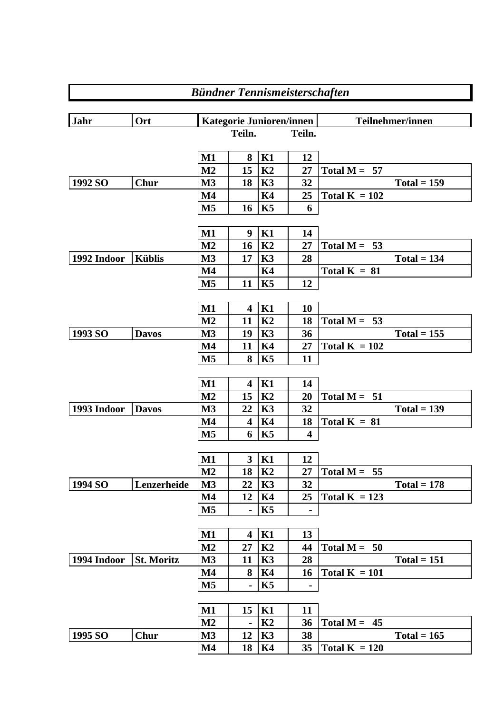|             |                   |                                 |                         |                | <b>Bündner Tennismeisterschaften</b> |                                 |  |  |  |  |
|-------------|-------------------|---------------------------------|-------------------------|----------------|--------------------------------------|---------------------------------|--|--|--|--|
|             |                   |                                 |                         |                |                                      |                                 |  |  |  |  |
| <b>Jahr</b> | Ort               | <b>Kategorie Junioren/innen</b> |                         |                |                                      | Teilnehmer/innen                |  |  |  |  |
|             |                   |                                 | Teiln.                  |                | Teiln.                               |                                 |  |  |  |  |
|             |                   | $M1$                            | 8                       | K1             | 12                                   |                                 |  |  |  |  |
|             |                   | M <sub>2</sub>                  | 15                      | K <sub>2</sub> | 27                                   | Total $M = 57$                  |  |  |  |  |
| 1992 SO     | <b>Chur</b>       | $\mathbf{M}3$                   | 18                      | K3             | 32                                   | $Total = 159$                   |  |  |  |  |
|             |                   | $\mathbf{M}4$                   |                         | <b>K4</b>      | 25                                   | Total $K = 102$                 |  |  |  |  |
|             |                   | M <sub>5</sub>                  | 16                      | K5             | 6                                    |                                 |  |  |  |  |
|             |                   |                                 |                         |                |                                      |                                 |  |  |  |  |
|             |                   | $\mathbf{M1}$                   | 9                       | K1             | 14                                   |                                 |  |  |  |  |
|             |                   | M <sub>2</sub>                  | <b>16</b>               | K <sub>2</sub> | 27                                   | Total $M = 53$                  |  |  |  |  |
| 1992 Indoor | <b>Küblis</b>     | $\mathbf{M}3$                   | 17                      | K3             | 28                                   | $Total = 134$                   |  |  |  |  |
|             |                   | $\mathbf{M}4$                   |                         | K4             |                                      | Total $K = 81$                  |  |  |  |  |
|             |                   | $\mathbf{M}5$                   | 11                      | K5             | 12                                   |                                 |  |  |  |  |
|             |                   |                                 |                         |                |                                      |                                 |  |  |  |  |
|             |                   | $\mathbf{M1}$                   | $\overline{\mathbf{4}}$ | K1             | 10                                   |                                 |  |  |  |  |
|             |                   | M <sub>2</sub>                  | 11                      | K2             | 18                                   | Total $M = 53$                  |  |  |  |  |
| 1993 SO     | <b>Davos</b>      | M <sub>3</sub>                  | 19                      | K3             | 36                                   | $Total = 155$                   |  |  |  |  |
|             |                   | $\mathbf{M}4$                   | 11                      | <b>K4</b>      | 27                                   | Total $K = 102$                 |  |  |  |  |
|             |                   | $\mathbf{M}5$                   | 8                       | K5             | 11                                   |                                 |  |  |  |  |
|             |                   | $\mathbf{M1}$                   | 4                       | K1             | 14                                   |                                 |  |  |  |  |
|             |                   | M <sub>2</sub>                  | 15                      | K <sub>2</sub> | 20                                   | Total $M = 51$                  |  |  |  |  |
| 1993 Indoor | <b>Davos</b>      | M <sub>3</sub>                  | 22                      | K3             | 32                                   | $Total = 139$                   |  |  |  |  |
|             |                   | $\mathbf{M}4$                   | $\overline{\mathbf{4}}$ | <b>K4</b>      | 18                                   | Total $K = 81$                  |  |  |  |  |
|             |                   | M <sub>5</sub>                  | 6                       | K5             | $\overline{\mathbf{4}}$              |                                 |  |  |  |  |
|             |                   |                                 |                         |                |                                      |                                 |  |  |  |  |
|             |                   | $M1$                            | $\overline{\mathbf{3}}$ | K1             | 12                                   |                                 |  |  |  |  |
|             |                   | M <sub>2</sub>                  | 18                      | K2             | 27                                   | Total $M = 55$                  |  |  |  |  |
| 1994 SO     | Lenzerheide       | M <sub>3</sub>                  | 22                      | K3             | 32                                   | $Total = 178$                   |  |  |  |  |
|             |                   | $\mathbf{M}4$                   | 12                      | K4             | 25                                   | Total $K = 123$                 |  |  |  |  |
|             |                   | M5                              |                         | K5             |                                      |                                 |  |  |  |  |
|             |                   |                                 |                         |                |                                      |                                 |  |  |  |  |
|             |                   | $\mathbf{M1}$                   | $\overline{\mathbf{4}}$ | K1             | 13                                   |                                 |  |  |  |  |
|             |                   | $\mathbf{M2}$                   | 27                      | K2             | 44                                   | Total $M = 50$<br>$Total = 151$ |  |  |  |  |
| 1994 Indoor | <b>St. Moritz</b> | $\mathbf{M}3$                   | 11                      | K3             | 28                                   |                                 |  |  |  |  |
|             |                   | M4<br>$\mathbf{M5}$             | 8                       | K4<br>K5       | 16                                   | Total $K = 101$                 |  |  |  |  |
|             |                   |                                 |                         |                |                                      |                                 |  |  |  |  |
|             |                   | $\mathbf{M1}$                   | 15                      | K1             | 11                                   |                                 |  |  |  |  |
|             |                   | $\mathbf{M2}$                   |                         | K2             | 36                                   | Total $M = 45$                  |  |  |  |  |
| 1995 SO     | <b>Chur</b>       | $\mathbf{M}3$                   | 12                      | K3             | 38                                   | $Total = 165$                   |  |  |  |  |
|             |                   | $\mathbf{M}4$                   | 18                      | K4             | 35                                   | Total $K = 120$                 |  |  |  |  |